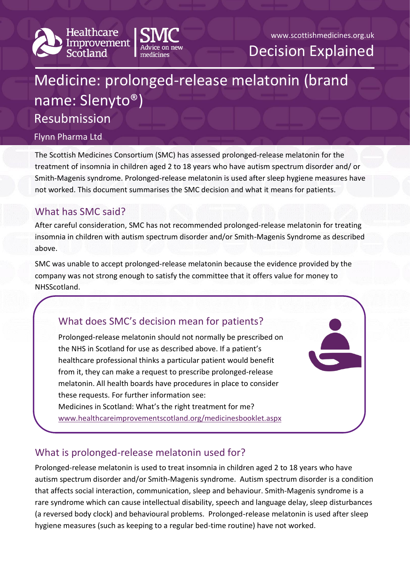



# Medicine: prolonged-release melatonin (brand name: Slenyto®) Resubmission

#### Flynn Pharma Ltd

The Scottish Medicines Consortium (SMC) has assessed prolonged-release melatonin for the treatment of insomnia in children aged 2 to 18 years who have autism spectrum disorder and/ or Smith-Magenis syndrome. Prolonged-release melatonin is used after sleep hygiene measures have not worked. This document summarises the SMC decision and what it means for patients.

### What has SMC said?

After careful consideration, SMC has not recommended prolonged-release melatonin for treating insomnia in children with autism spectrum disorder and/or Smith-Magenis Syndrome as described above.

SMC was unable to accept prolonged-release melatonin because the evidence provided by the company was not strong enough to satisfy the committee that it offers value for money to NHSScotland.

# What does SMC's decision mean for patients?

Prolonged-release melatonin should not normally be prescribed on the NHS in Scotland for use as described above. If a patient's healthcare professional thinks a particular patient would benefit from it, they can make a request to prescribe prolonged-release melatonin. All health boards have procedures in place to consider these requests. For further information see: Medicines in Scotland: What's the right treatment for me? [www.healthcareimprovementscotland.org/medicinesbooklet.aspx](http://www.healthcareimprovementscotland.org/our_work/technologies_and_medicines/adtc_resources/medicines_booklet.aspx)

## What is prolonged-release melatonin used for?

Prolonged-release melatonin is used to treat insomnia in children aged 2 to 18 years who have autism spectrum disorder and/or Smith-Magenis syndrome. Autism spectrum disorder is a condition that affects social interaction, communication, sleep and behaviour. Smith-Magenis syndrome is a rare syndrome which can cause intellectual disability, speech and language delay, sleep disturbances (a reversed body clock) and behavioural problems. Prolonged-release melatonin is used after sleep hygiene measures (such as keeping to a regular bed-time routine) have not worked.